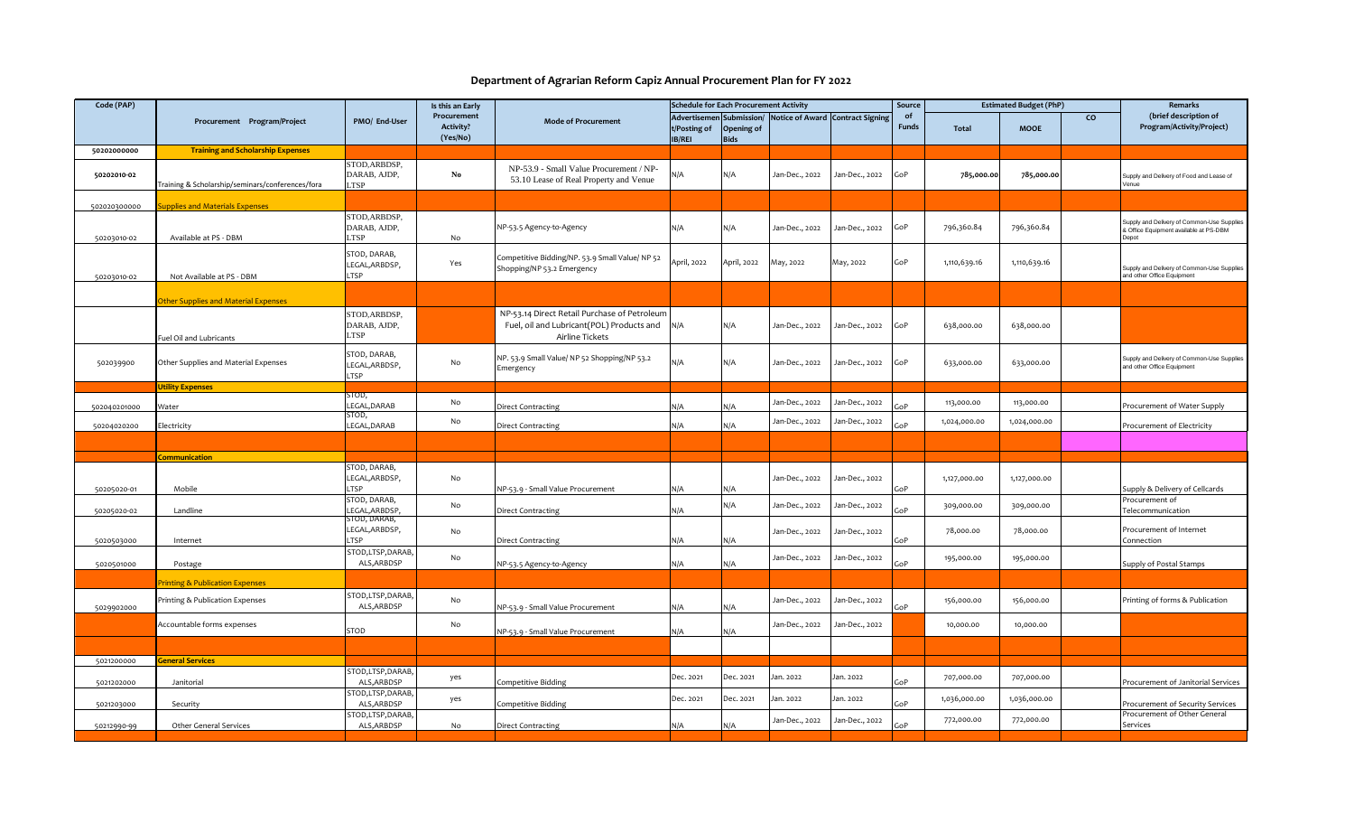## **Department of Agrarian Reform Capiz Annual Procurement Plan for FY 2022**

| Code (PAP)   |                                                  |                                                      | Is this an Early                            |                                                                                                              | <b>Schedule for Each Procurement Activity</b>       |                                  |                |                                         | Source             | <b>Estimated Budget (PhP)</b> |              | Remarks         |                                                                                               |
|--------------|--------------------------------------------------|------------------------------------------------------|---------------------------------------------|--------------------------------------------------------------------------------------------------------------|-----------------------------------------------------|----------------------------------|----------------|-----------------------------------------|--------------------|-------------------------------|--------------|-----------------|-----------------------------------------------------------------------------------------------|
|              | Procurement Program/Project                      | PMO/ End-User                                        | Procurement<br><b>Activity?</b><br>(Yes/No) | <b>Mode of Procurement</b>                                                                                   | <b>Advertiseme</b><br>t/Posting of<br><b>IB/REI</b> | Submission<br>Opening of<br>Bids |                | <b>Notice of Award Contract Signing</b> | of<br><b>Funds</b> | Total                         | <b>MOOE</b>  | $\mathsf{co}\,$ | (brief description of<br>Program/Activity/Project)                                            |
| 50202000000  | <b>Training and Scholarship Expenses</b>         |                                                      |                                             |                                                                                                              |                                                     |                                  |                |                                         |                    |                               |              |                 |                                                                                               |
| 50202010-02  | Training & Scholarship/seminars/conferences/fora | STOD, ARBDSP,<br>DARAB, AJDP,<br>TSP                 | $\mathbf{No}$                               | NP-53.9 - Small Value Procurement / NP-<br>53.10 Lease of Real Property and Venue                            | N/A                                                 | N/A                              | Jan-Dec., 2022 | Jan-Dec., 2022                          | GoP                | 785,000.00                    | 785,000.00   |                 | Supply and Delivery of Food and Lease of<br>Venue                                             |
| 502020300000 | upplies and Materials Expenses                   |                                                      |                                             |                                                                                                              |                                                     |                                  |                |                                         |                    |                               |              |                 |                                                                                               |
| 50203010-02  | Available at PS - DBM                            | STOD, ARBDSP,<br>DARAB, AJDP,<br><b>TSP</b>          | No                                          | NP-53.5 Agency-to-Agency                                                                                     | N/A                                                 | N/A                              | Jan-Dec., 2022 | Jan-Dec., 2022                          | GoP                | 796,360.84                    | 796,360.84   |                 | Supply and Delivery of Common-Use Supplies<br>& Office Equipment available at PS-DBM<br>Depot |
| 50203010-02  | Not Available at PS - DBM                        | <b>STOD, DARAB,</b><br>LEGAL, ARBDSP,<br><b>LTSP</b> | Yes                                         | Competitive Bidding/NP. 53.9 Small Value/ NP 52<br>Shopping/NP 53.2 Emergency                                | April, 2022                                         | April, 2022                      | May, 2022      | May, 2022                               | GoP                | 1,110,639.16                  | 1,110,639.16 |                 | Supply and Delivery of Common-Use Supplies<br>and other Office Equipment                      |
|              |                                                  |                                                      |                                             |                                                                                                              |                                                     |                                  |                |                                         |                    |                               |              |                 |                                                                                               |
|              | ther Supplies and Material Expenses              |                                                      |                                             |                                                                                                              |                                                     |                                  |                |                                         |                    |                               |              |                 |                                                                                               |
|              | uel Oil and Lubricants                           | STOD, ARBDSP,<br>DARAB, AJDP,<br>LTSP                |                                             | NP-53.14 Direct Retail Purchase of Petroleum<br>Fuel, oil and Lubricant(POL) Products and<br>Airline Tickets | N/A                                                 | N/A                              | Jan-Dec., 2022 | Jan-Dec., 2022                          | GoP                | 638,000.00                    | 638,000.00   |                 |                                                                                               |
| 502039900    | Other Supplies and Material Expenses             | STOD, DARAB,<br>LEGAL, ARBDSP,<br><b>TSP</b>         | No                                          | NP. 53.9 Small Value/ NP 52 Shopping/NP 53.2<br>Emergency                                                    | N/A                                                 | N/A                              | Jan-Dec., 2022 | Jan-Dec., 2022                          | GoP                | 633,000.00                    | 633,000.00   |                 | Supply and Delivery of Common-Use Supplies<br>and other Office Equipment                      |
|              | <b>Utility Expenses</b>                          |                                                      |                                             |                                                                                                              |                                                     |                                  |                |                                         |                    |                               |              |                 |                                                                                               |
| 502040201000 | Water                                            | STOD,<br>EGAL, DARAB<br>STOD,                        | No                                          | <b>Direct Contracting</b>                                                                                    | N/A                                                 | N/A                              | Jan-Dec., 2022 | Jan-Dec., 2022                          | GoP                | 113,000.00                    | 113,000.00   |                 | Procurement of Water Supply                                                                   |
| 50204020200  | Electricity                                      | LEGAL, DARAB                                         | No                                          | <b>Direct Contracting</b>                                                                                    | N/A                                                 | N/A                              | Jan-Dec., 2022 | Jan-Dec., 2022                          | GoP                | 1,024,000.00                  | 1,024,000.00 |                 | Procurement of Electricity                                                                    |
|              |                                                  |                                                      |                                             |                                                                                                              |                                                     |                                  |                |                                         |                    |                               |              |                 |                                                                                               |
|              | .<br><b>Communication</b>                        |                                                      |                                             |                                                                                                              |                                                     |                                  |                |                                         |                    |                               |              |                 |                                                                                               |
|              |                                                  | STOD, DARAB,                                         |                                             |                                                                                                              |                                                     |                                  |                |                                         |                    |                               |              |                 |                                                                                               |
|              |                                                  | LEGAL, ARBDSP,                                       | No                                          |                                                                                                              |                                                     |                                  | Jan-Dec., 2022 | Jan-Dec., 2022                          |                    | 1,127,000.00                  | 1,127,000.00 |                 |                                                                                               |
| 50205020-01  | Mobile                                           | <b>TSP</b><br>STOD, DARAB,                           |                                             | NP-53.9 - Small Value Procurement                                                                            | N/A                                                 | N/A                              |                |                                         | GoP                |                               |              |                 | Supply & Delivery of Cellcards<br>Procurement of                                              |
| 50205020-02  | Landline                                         | EGAL, ARBDSP                                         | No                                          | <b>Direct Contracting</b>                                                                                    | N/A                                                 | N/A                              | Jan-Dec., 2022 | Jan-Dec., 2022                          | GoP                | 309,000.00                    | 309,000.00   |                 | Telecommunication                                                                             |
| 5020503000   | Internet                                         | STOD, DARAB,<br>LEGAL, ARBDSP,<br><b>TSP</b>         | No                                          | <b>Direct Contracting</b>                                                                                    | N/A                                                 | N/A                              | Jan-Dec., 2022 | Jan-Dec., 2022                          | GoP                | 78,000.00                     | 78,000.00    |                 | Procurement of Internet<br>Connection                                                         |
| 5020501000   | Postage                                          | STOD,LTSP,DARAB,<br>ALS, ARBDSP                      | No                                          | NP-53.5 Agency-to-Agency                                                                                     | N/A                                                 | N/A                              | Jan-Dec., 2022 | Jan-Dec., 2022                          | GoP                | 195,000.00                    | 195,000.00   |                 | Supply of Postal Stamps                                                                       |
|              | <b>rinting &amp; Publication Expenses</b>        |                                                      |                                             |                                                                                                              |                                                     |                                  |                |                                         |                    |                               |              |                 |                                                                                               |
| 5029902000   | Printing & Publication Expenses                  | STOD,LTSP,DARAB,<br>ALS, ARBDSP                      | No                                          | NP-53.9 - Small Value Procurement                                                                            | N/A                                                 | N/A                              | Jan-Dec., 2022 | Jan-Dec., 2022                          | GoP                | 156,000.00                    | 156,000.00   |                 | Printing of forms & Publication                                                               |
|              | Accountable forms expenses                       | <b>STOD</b>                                          | No                                          | NP-53.9 - Small Value Procurement                                                                            | N/A                                                 | N/A                              | Jan-Dec., 2022 | Jan-Dec., 2022                          |                    | 10,000.00                     | 10,000.00    |                 |                                                                                               |
|              |                                                  |                                                      |                                             |                                                                                                              |                                                     |                                  |                |                                         |                    |                               |              |                 |                                                                                               |
| 5021200000   | eneral Services                                  |                                                      |                                             |                                                                                                              |                                                     |                                  |                |                                         |                    |                               |              |                 |                                                                                               |
| 5021202000   | Janitorial                                       | STOD,LTSP,DARAB,<br>ALS, ARBDSP                      | yes                                         | Competitive Bidding                                                                                          | Dec. 2021                                           | Dec. 2021                        | Jan. 2022      | Jan. 2022                               | GoP                | 707,000.00                    | 707,000.00   |                 | Procurement of Janitorial Services                                                            |
| 5021203000   | Security                                         | TOD,LTSP,DARAB,<br>ALS, ARBDSP                       | yes                                         | Competitive Bidding                                                                                          | Dec. 2021                                           | Dec. 2021                        | Jan. 2022      | Jan. 2022                               | GoP                | 1,036,000.00                  | 1,036,000.00 |                 | Procurement of Security Services                                                              |
| 50212990-99  | <b>Other General Services</b>                    | TOD,LTSP,DARAB,<br>ALS, ARBDSP                       | No                                          | <b>Direct Contracting</b>                                                                                    | N/A                                                 | N/A                              | Jan-Dec., 2022 | Jan-Dec., 2022                          | GoP                | 772,000.00                    | 772,000.00   |                 | Procurement of Other General<br>Services                                                      |
|              |                                                  |                                                      |                                             |                                                                                                              |                                                     |                                  |                |                                         |                    |                               |              |                 |                                                                                               |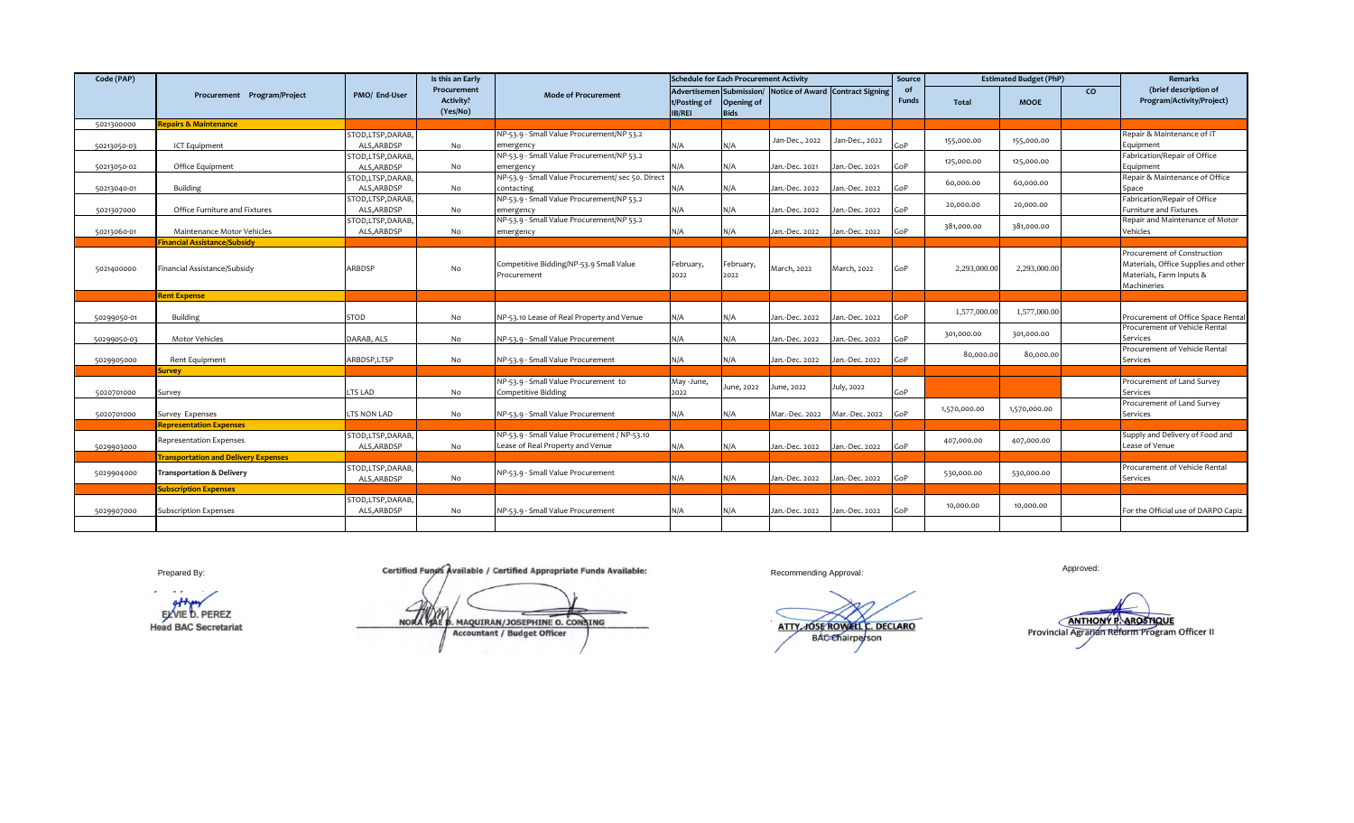| Code (PAP)  |                                                                     |                                  | Is this an Early                            |                                                                                  | <b>Schedule for Each Procurement Activity</b> |                           |                                                           |                | Source             | <b>Estimated Budget (PhP)</b> |              |    | Remarks                                                                                                        |
|-------------|---------------------------------------------------------------------|----------------------------------|---------------------------------------------|----------------------------------------------------------------------------------|-----------------------------------------------|---------------------------|-----------------------------------------------------------|----------------|--------------------|-------------------------------|--------------|----|----------------------------------------------------------------------------------------------------------------|
|             | Procurement Program/Project                                         | PMO/ End-User                    | Procurement<br><b>Activity?</b><br>(Yes/No) | <b>Mode of Procurement</b>                                                       | t/Posting of<br><b>IB/REI</b>                 | Opening of<br><b>Bids</b> | Advertisemen Submission/ Notice of Award Contract Signing |                | of<br><b>Funds</b> | <b>Total</b>                  | <b>MOOE</b>  | CO | (brief description of<br>Program/Activity/Project)                                                             |
| 5021300000  | <b>Repairs &amp; Maintenance</b>                                    |                                  |                                             |                                                                                  |                                               |                           |                                                           |                |                    |                               |              |    |                                                                                                                |
| 50213050-03 | ICT Equipment                                                       | STOD,LTSP,DARAB,<br>ALS.ARBDSP   | No                                          | NP-53.9 - Small Value Procurement/NP 53.2<br>emergency                           | N/A                                           | N/A                       | Jan-Dec., 2022                                            | Jan-Dec., 2022 | GoP                | 155,000.00                    | 155,000.00   |    | Repair & Maintenance of IT<br>Equipment                                                                        |
| 50213050-02 | Office Equipment                                                    | STOD, LTSP, DARAB,<br>ALS.ARBDSP | No                                          | NP-53.9 - Small Value Procurement/NP 53.2<br>emergency                           | N/A                                           | N/A                       | Jan.-Dec. 2021                                            | Jan.-Dec. 2021 | GoP                | 125,000.00                    | 125,000.00   |    | Fabrication/Repair of Office<br>Equipment                                                                      |
| 50213040-01 | Building                                                            | STOD,LTSP,DARAB,<br>ALS.ARBDSP   | No                                          | NP-53.9 - Small Value Procurement/ sec 50. Direct<br>contacting                  | N/A                                           | N/A                       | Jan.-Dec. 2022                                            | an.-Dec. 2022  | GoP                | 60,000.00                     | 60.000.00    |    | Repair & Maintenance of Office<br>Space                                                                        |
| 5021307000  | Office Furniture and Fixtures                                       | STOD,LTSP,DARAB,<br>ALS, ARBDSP  | No                                          | NP-53.9 - Small Value Procurement/NP 53.2<br>emergency                           | N/A                                           | N/A                       | Jan.-Dec. 2022                                            | Jan.-Dec. 2022 | GoP                | 20,000.00                     | 20,000.00    |    | Fabrication/Repair of Office<br>Furniture and Fixtures                                                         |
| 50213060-01 | Maintenance Motor Vehicles                                          | STOD,LTSP,DARAB,<br>ALS, ARBDSP  | No                                          | NP-53.9 - Small Value Procurement/NP 53.2<br>emergency                           | N/A                                           | N/A                       | Jan.-Dec. 2022                                            | Jan.-Dec. 2022 | GoP                | 381,000.00                    | 381,000.00   |    | Repair and Maintenance of Motor<br>Vehicles                                                                    |
| 5021400000  | <b>Financial Assistance/Subsidy</b><br>Financial Assistance/Subsidy | ARBDSP                           | No                                          | Competitive Bidding/NP-53.9 Small Value<br>Procurement                           | February,<br>2022                             | February,<br>2022         | March, 2022                                               | March, 2022    | GoP                | 2,293,000.00                  | 2,293,000.00 |    | Procurement of Construction<br>Materials, Office Supplies and other<br>Materials, Farm Inputs &<br>Machineries |
|             | <b>Rent Expense</b>                                                 |                                  |                                             |                                                                                  |                                               |                           |                                                           |                |                    |                               |              |    |                                                                                                                |
| 50299050-01 | <b>Building</b>                                                     | <b>STOD</b>                      | No                                          | NP-53.10 Lease of Real Property and Venue                                        | N/A                                           | N/A                       | Jan.-Dec. 2022                                            | Jan.-Dec. 2022 | GoP                | 1,577,000.00                  | 1,577,000.00 |    | Procurement of Office Space Rental                                                                             |
| 50299050-03 | Motor Vehicles                                                      | DARAB, ALS                       | No                                          | NP-53.9 - Small Value Procurement                                                | N/A                                           | N/A                       | Jan.-Dec. 2022                                            | Jan.-Dec. 2022 | GoP                | 301,000.00                    | 301,000.00   |    | Procurement of Vehicle Rental<br>Services                                                                      |
| 5029905000  | Rent Equipment                                                      | ARBDSP,LTSP                      | No                                          | NP-53.9 - Small Value Procurement                                                | N/A                                           | N/A                       | Jan.-Dec. 2022                                            | Jan.-Dec. 2022 | GoP                | 80,000.00                     | 80.000.00    |    | Procurement of Vehicle Rental<br>Services                                                                      |
|             | iurvey                                                              |                                  |                                             |                                                                                  |                                               |                           |                                                           |                |                    |                               |              |    |                                                                                                                |
| 5020701000  | Survey                                                              | LTS LAD                          | No                                          | NP-53.9 - Small Value Procurement to<br><b>Competitive Bidding</b>               | May-June,<br>2022                             | June, 2022                | June, 2022                                                | July, 2022     | GoP                |                               |              |    | Procurement of Land Survey<br>Services                                                                         |
| 5020701000  | Survey Expenses                                                     | LTS NON LAD                      | No                                          | NP-53.9 - Small Value Procurement                                                | N/A                                           | N/A                       | Mar.-Dec. 2022                                            | Mar.-Dec. 2022 | GoP                | 1,570,000.00                  | 1,570,000.00 |    | Procurement of Land Survey<br>Services                                                                         |
|             | <b>Representation Expenses</b>                                      |                                  |                                             |                                                                                  |                                               |                           |                                                           |                |                    |                               |              |    |                                                                                                                |
| 5029903000  | <b>Representation Expenses</b>                                      | STOD,LTSP,DARAB,<br>ALS, ARBDSP  | No                                          | NP-53.9 - Small Value Procurement / NP-53.10<br>Lease of Real Property and Venue | N/A                                           | N/A                       | Jan.-Dec. 2022                                            | Jan.-Dec. 2022 | GoP                | 407,000.00                    | 407,000.00   |    | Supply and Delivery of Food and<br>Lease of Venue                                                              |
|             | <b>Transportation and Delivery Expenses</b>                         |                                  |                                             |                                                                                  |                                               |                           |                                                           |                |                    |                               |              |    |                                                                                                                |
| 5029904000  | <b>Transportation &amp; Delivery</b>                                | STOD,LTSP,DARAB,<br>ALS, ARBDSP  | No                                          | NP-53.9 - Small Value Procurement                                                | N/A                                           | N/A                       | Jan.-Dec. 2022                                            | Jan.-Dec. 2022 | GoP                | 530,000.00                    | 530,000.00   |    | Procurement of Vehicle Rental<br>Services                                                                      |
|             | <b>Subscription Expenses</b>                                        |                                  |                                             |                                                                                  |                                               |                           |                                                           |                |                    |                               |              |    |                                                                                                                |
| 5029907000  | <b>Subscription Expenses</b>                                        | STOD,LTSP,DARAB,<br>ALS, ARBDSP  | No                                          | NP-53.9 - Small Value Procurement                                                | N/A                                           | N/A                       | Jan.-Dec. 2022                                            | Jan.-Dec. 2022 | GoP                | 10,000.00                     | 10,000.00    |    | For the Official use of DARPO Capiz                                                                            |
|             |                                                                     |                                  |                                             |                                                                                  |                                               |                           |                                                           |                |                    |                               |              |    |                                                                                                                |

 $\overline{\phantom{a}}$  $\cdot$   $\cdot$ 

Prepared By: **Recommending Approved:** Approved: Approved: Approved: Approved: Approved: Approved: Approved: Approved: Approved: Approved: Approved: Approved: Approved: Approved: Approved: Approved: Approved: Approved: App

**EXVIE D. PEREZ ATTHONY P. AROSTIQUE AN/ JOSEPHINE O CONSTAGE CONSTAGE CONSTAGE CONSTAGE CONSTAGE CONSTAGE CONSTAGE CONSTAGE CONSTAGE CONSTAGE CONSTAGE CONSTAGE CONSTAGE CONSTAGE CONSTAGE CONSTAGE CONSTAGE CONSTAGE CONSTAG** Herad BAC Secretariat Provincial Agrarian Reform Program Arcountant / Accountant / Budget Officer Arcountant Arcountant Program Arcountant Program Arcountant Program Arcountant Arcountant / Accountant / Budget Officer **NORA MAE D. MAQUIRAN/JOSEPHINE O. CONSING** Accountant / Budget Officer BAC Chairperson Chairperson ATTY, JUSE ROWELL L. D